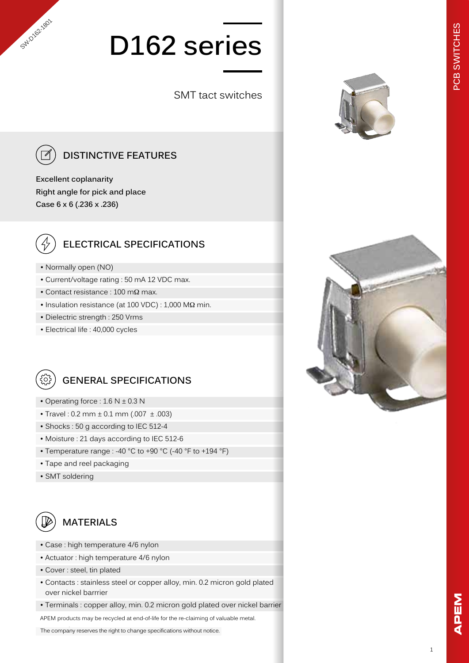# **D162 series**

SMT tact switches



SWO/92-1801

### **DISTINCTIVE FEATURES**

**Excellent coplanarity Right angle for pick and place Case 6 x 6 (.236 x .236)**



#### **ELECTRICAL SPECIFICATIONS**

- Normally open (NO)
- Current/voltage rating : 50 mA 12 VDC max.
- Contact resistance : 100 mΩ max.
- Insulation resistance (at 100 VDC) : 1,000 MΩ min.
- Dielectric strength : 250 Vrms
- Electrical life : 40,000 cycles



#### **GENERAL SPECIFICATIONS**

- Operating force :  $1.6 N \pm 0.3 N$
- Travel:  $0.2$  mm  $\pm$  0.1 mm (.007  $\pm$  .003)
- Shocks : 50 g according to IEC 512-4
- Moisture : 21 days according to IEC 512-6
- Temperature range : -40 °C to +90 °C (-40 °F to +194 °F)
- Tape and reel packaging
- SMT soldering



#### **MATERIALS**

- Case : high temperature 4/6 nylon
- Actuator : high temperature 4/6 nylon
- Cover : steel, tin plated
- Contacts : stainless steel or copper alloy, min. 0.2 micron gold plated over nickel barrrier
- Terminals : copper alloy, min. 0.2 micron gold plated over nickel barrier

APEM products may be recycled at end-of-life for the re-claiming of valuable metal.

The company reserves the right to change specifications without notice.